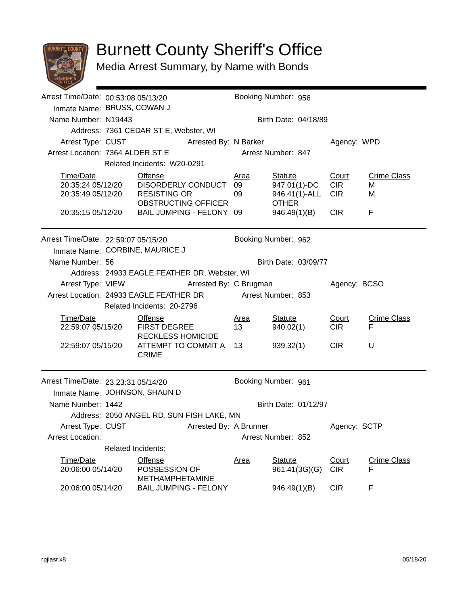

## Burnett County Sheriff's Office

Media Arrest Summary, by Name with Bonds

| Arrest Time/Date: 00:53:08 05/13/20                         |                                              |                                                                                           | Booking Number: 956 |                      |                      |                  |                    |  |  |
|-------------------------------------------------------------|----------------------------------------------|-------------------------------------------------------------------------------------------|---------------------|----------------------|----------------------|------------------|--------------------|--|--|
| Inmate Name: BRUSS, COWAN J                                 |                                              |                                                                                           |                     |                      |                      |                  |                    |  |  |
| Name Number: N19443                                         |                                              |                                                                                           |                     |                      | Birth Date: 04/18/89 |                  |                    |  |  |
|                                                             |                                              | Address: 7361 CEDAR ST E, Webster, WI                                                     |                     |                      |                      |                  |                    |  |  |
|                                                             | Arrest Type: CUST Arrested By: N Barker      |                                                                                           |                     |                      |                      | Agency: WPD      |                    |  |  |
| Arrest Location: 7364 ALDER ST E                            |                                              |                                                                                           |                     |                      | Arrest Number: 847   |                  |                    |  |  |
|                                                             | Related Incidents: W20-0291                  |                                                                                           |                     |                      |                      |                  |                    |  |  |
| Time/Date                                                   |                                              | Offense                                                                                   |                     | <u>Area</u>          | <b>Statute</b>       | Court            | <b>Crime Class</b> |  |  |
| 20:35:24 05/12/20                                           |                                              | DISORDERLY CONDUCT                                                                        |                     | 09                   | 947.01(1)-DC         | <b>CIR</b>       | м                  |  |  |
| 20:35:49 05/12/20                                           |                                              | <b>RESISTING OR</b>                                                                       |                     | 09                   | 946.41(1)-ALL        | <b>CIR</b>       | M                  |  |  |
|                                                             |                                              | OBSTRUCTING OFFICER<br>BAIL JUMPING - FELONY 09                                           |                     |                      | <b>OTHER</b>         | CIR <sub>1</sub> | F                  |  |  |
| 20:35:15 05/12/20                                           |                                              |                                                                                           |                     |                      | 946.49(1)(B)         |                  |                    |  |  |
| Arrest Time/Date: 22:59:07 05/15/20                         |                                              |                                                                                           |                     |                      | Booking Number: 962  |                  |                    |  |  |
|                                                             | Inmate Name: CORBINE, MAURICE J              |                                                                                           |                     |                      |                      |                  |                    |  |  |
| Name Number: 56                                             |                                              |                                                                                           |                     | Birth Date: 03/09/77 |                      |                  |                    |  |  |
|                                                             | Address: 24933 EAGLE FEATHER DR, Webster, WI |                                                                                           |                     |                      |                      |                  |                    |  |  |
| Arrest Type: VIEW                                           | Arrested By: C Brugman                       |                                                                                           |                     |                      | Agency: BCSO         |                  |                    |  |  |
|                                                             |                                              | Arrest Location: 24933 EAGLE FEATHER DR                                                   |                     | Arrest Number: 853   |                      |                  |                    |  |  |
|                                                             |                                              | Related Incidents: 20-2796                                                                |                     |                      |                      |                  |                    |  |  |
| Time/Date                                                   |                                              | <b>Offense</b>                                                                            |                     | <u>Area</u>          | <b>Statute</b>       | Court            | <b>Crime Class</b> |  |  |
| 22:59:07 05/15/20                                           |                                              | <b>FIRST DEGREE</b><br><b>RECKLESS HOMICIDE</b><br>ATTEMPT TO COMMIT A 13<br><b>CRIME</b> |                     | 13                   | 940.02(1)            | <b>CIR</b>       | F                  |  |  |
|                                                             |                                              |                                                                                           |                     |                      |                      |                  |                    |  |  |
| 22:59:07 05/15/20                                           |                                              |                                                                                           |                     |                      | 939.32(1)            | <b>CIR</b>       | U                  |  |  |
|                                                             |                                              |                                                                                           |                     |                      |                      |                  |                    |  |  |
| Arrest Time/Date: 23:23:31 05/14/20                         |                                              |                                                                                           |                     |                      | Booking Number: 961  |                  |                    |  |  |
| Inmate Name: JOHNSON, SHAUN D                               |                                              |                                                                                           |                     |                      |                      |                  |                    |  |  |
| Name Number: 1442                                           |                                              |                                                                                           |                     | Birth Date: 01/12/97 |                      |                  |                    |  |  |
| Address: 2050 ANGEL RD, SUN FISH LAKE, MN                   |                                              |                                                                                           |                     |                      |                      |                  |                    |  |  |
| Arrest Type: CUST<br>Arrested By: A Brunner<br>Agency: SCTP |                                              |                                                                                           |                     |                      |                      |                  |                    |  |  |
| <b>Arrest Location:</b>                                     |                                              |                                                                                           | Arrest Number: 852  |                      |                      |                  |                    |  |  |
|                                                             | <b>Related Incidents:</b>                    |                                                                                           |                     |                      |                      |                  |                    |  |  |
| Time/Date                                                   |                                              | Offense                                                                                   |                     | <b>Area</b>          | <b>Statute</b>       | Court            | <b>Crime Class</b> |  |  |
| 20:06:00 05/14/20                                           |                                              | POSSESSION OF                                                                             |                     |                      | 961.41(3G)(G)        | <b>CIR</b>       | F                  |  |  |
|                                                             |                                              | <b>METHAMPHETAMINE</b>                                                                    |                     |                      |                      |                  |                    |  |  |
| 20:06:00 05/14/20                                           |                                              | <b>BAIL JUMPING - FELONY</b>                                                              |                     |                      | 946.49(1)(B)         | <b>CIR</b>       | F                  |  |  |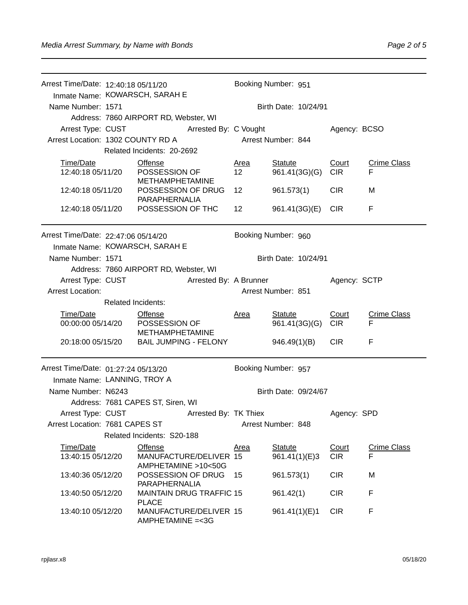| Arrest Time/Date: 12:40:18 05/11/20 |                       |                                                        |  | Booking Number: 951    |                                 |                     |                         |  |
|-------------------------------------|-----------------------|--------------------------------------------------------|--|------------------------|---------------------------------|---------------------|-------------------------|--|
|                                     |                       | Inmate Name: KOWARSCH, SARAH E                         |  |                        |                                 |                     |                         |  |
| Name Number: 1571                   |                       |                                                        |  |                        | Birth Date: 10/24/91            |                     |                         |  |
|                                     |                       | Address: 7860 AIRPORT RD, Webster, WI                  |  |                        |                                 |                     |                         |  |
| Arrest Type: CUST                   | Arrested By: C Vought |                                                        |  |                        |                                 | Agency: BCSO        |                         |  |
| Arrest Location: 1302 COUNTY RD A   |                       |                                                        |  | Arrest Number: 844     |                                 |                     |                         |  |
|                                     |                       | Related Incidents: 20-2692                             |  |                        |                                 |                     |                         |  |
| Time/Date                           |                       | <b>Offense</b>                                         |  | <u>Area</u>            | <b>Statute</b>                  | Court               | <b>Crime Class</b>      |  |
| 12:40:18 05/11/20                   |                       | POSSESSION OF<br><b>METHAMPHETAMINE</b>                |  | 12 <sup>2</sup>        | 961.41(3G)(G)                   | <b>CIR</b>          | F                       |  |
| 12:40:18 05/11/20                   |                       | POSSESSION OF DRUG<br>PARAPHERNALIA                    |  | 12                     | 961.573(1)                      | <b>CIR</b>          | м                       |  |
| 12:40:18 05/11/20                   |                       | POSSESSION OF THC                                      |  | 12                     | 961.41(3G)(E)                   | <b>CIR</b>          | F                       |  |
| Arrest Time/Date: 22:47:06 05/14/20 |                       |                                                        |  |                        | Booking Number: 960             |                     |                         |  |
|                                     |                       | Inmate Name: KOWARSCH, SARAH E                         |  |                        |                                 |                     |                         |  |
| Name Number: 1571                   |                       |                                                        |  |                        | Birth Date: 10/24/91            |                     |                         |  |
|                                     |                       | Address: 7860 AIRPORT RD, Webster, WI                  |  |                        |                                 |                     |                         |  |
| Arrest Type: CUST                   |                       |                                                        |  | Arrested By: A Brunner |                                 | Agency: SCTP        |                         |  |
| <b>Arrest Location:</b>             |                       |                                                        |  | Arrest Number: 851     |                                 |                     |                         |  |
|                                     | Related Incidents:    |                                                        |  |                        |                                 |                     |                         |  |
| Time/Date<br>00:00:00 05/14/20      |                       | <b>Offense</b><br>POSSESSION OF                        |  | <b>Area</b>            | <b>Statute</b><br>961.41(3G)(G) | Court<br><b>CIR</b> | <b>Crime Class</b><br>F |  |
| 20:18:00 05/15/20                   |                       | <b>METHAMPHETAMINE</b><br><b>BAIL JUMPING - FELONY</b> |  |                        | 946.49(1)(B)                    | <b>CIR</b>          | F                       |  |
| Arrest Time/Date: 01:27:24 05/13/20 |                       |                                                        |  |                        | Booking Number: 957             |                     |                         |  |
| Inmate Name: LANNING, TROY A        |                       |                                                        |  |                        |                                 |                     |                         |  |
| Name Number: N6243                  |                       |                                                        |  | Birth Date: 09/24/67   |                                 |                     |                         |  |
|                                     |                       | Address: 7681 CAPES ST, Siren, WI                      |  |                        |                                 |                     |                         |  |
| Arrest Type: CUST                   |                       | Arrested By: TK Thiex                                  |  |                        |                                 | Agency: SPD         |                         |  |
| Arrest Location: 7681 CAPES ST      |                       |                                                        |  | Arrest Number: 848     |                                 |                     |                         |  |
|                                     |                       | Related Incidents: S20-188                             |  |                        |                                 |                     |                         |  |
| Time/Date                           |                       | Offense                                                |  | Area                   | <b>Statute</b>                  | Court               | <b>Crime Class</b>      |  |
| 13:40:15 05/12/20                   |                       | MANUFACTURE/DELIVER 15<br>AMPHETAMINE >10<50G          |  |                        | 961.41(1)(E)3                   | <b>CIR</b>          | F                       |  |
| 13:40:36 05/12/20                   |                       | POSSESSION OF DRUG<br><b>PARAPHERNALIA</b>             |  | 15                     | 961.573(1)                      | <b>CIR</b>          | M                       |  |
| 13:40:50 05/12/20                   |                       | <b>MAINTAIN DRUG TRAFFIC 15</b><br><b>PLACE</b>        |  |                        | 961.42(1)                       | <b>CIR</b>          | F                       |  |
| 13:40:10 05/12/20                   |                       | MANUFACTURE/DELIVER 15<br>AMPHETAMINE = < 3G           |  |                        | 961.41(1)(E)1                   | <b>CIR</b>          | F                       |  |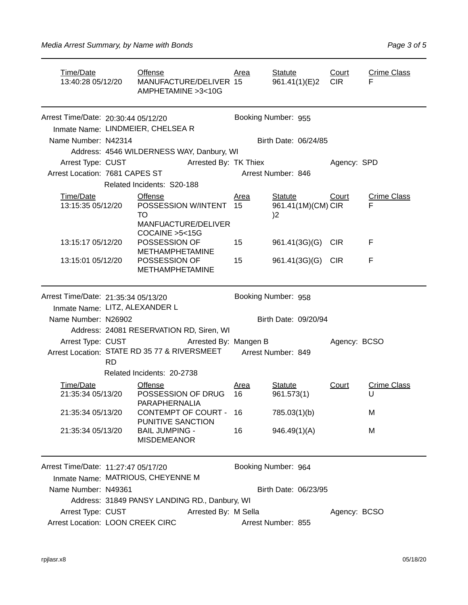| Time/Date<br>13:40:28 05/12/20                                           | Offense<br>MANUFACTURE/DELIVER 15<br>AMPHETAMINE > 3 < 10 G                      | Area                    | Statute<br>961.41(1)(E)2           | Court<br><b>CIR</b> | <b>Crime Class</b><br>F |
|--------------------------------------------------------------------------|----------------------------------------------------------------------------------|-------------------------|------------------------------------|---------------------|-------------------------|
| Arrest Time/Date: 20:30:44 05/12/20<br>Inmate Name: LINDMEIER, CHELSEA R |                                                                                  |                         | Booking Number: 955                |                     |                         |
| Name Number: N42314                                                      |                                                                                  |                         | Birth Date: 06/24/85               |                     |                         |
|                                                                          | Address: 4546 WILDERNESS WAY, Danbury, WI                                        |                         |                                    |                     |                         |
| Arrest Type: CUST                                                        | Arrested By: TK Thiex                                                            |                         |                                    | Agency: SPD         |                         |
| Arrest Location: 7681 CAPES ST                                           |                                                                                  |                         | Arrest Number: 846                 |                     |                         |
|                                                                          | Related Incidents: S20-188                                                       |                         |                                    |                     |                         |
| Time/Date<br>13:15:35 05/12/20                                           | Offense<br>POSSESSION W/INTENT<br>TO<br>MANFUACTURE/DELIVER<br>COCAINE > 5 < 15G | Area<br>15 <sub>2</sub> | Statute<br>961.41(1M)(CM) CIR<br>2 | Court               | <b>Crime Class</b><br>F |
| 13:15:17 05/12/20                                                        | POSSESSION OF<br><b>METHAMPHETAMINE</b>                                          | 15                      | 961.41(3G)(G) CIR                  |                     | F                       |
| 13:15:01 05/12/20                                                        | POSSESSION OF<br><b>METHAMPHETAMINE</b>                                          | 15                      | 961.41(3G)(G) CIR                  |                     | F                       |

|                                              | Arrest Time/Date: 21:35:34 05/13/20           |                                                       |  | Booking Number: 958 |                              |              |                         |  |  |
|----------------------------------------------|-----------------------------------------------|-------------------------------------------------------|--|---------------------|------------------------------|--------------|-------------------------|--|--|
| Inmate Name: LITZ, ALEXANDER L               |                                               |                                                       |  |                     |                              |              |                         |  |  |
| Name Number: N26902                          |                                               |                                                       |  |                     | Birth Date: 09/20/94         |              |                         |  |  |
|                                              |                                               | Address: 24081 RESERVATION RD, Siren, WI              |  |                     |                              |              |                         |  |  |
|                                              |                                               | Arrest Type: CUST Arrested By: Mangen B               |  |                     |                              |              | Agency: BCSO            |  |  |
| Arrest Location: STATE RD 35 77 & RIVERSMEET | <b>RD</b>                                     |                                                       |  | Arrest Number: 849  |                              |              |                         |  |  |
|                                              |                                               | Related Incidents: 20-2738                            |  |                     |                              |              |                         |  |  |
| Time/Date<br>21:35:34 05/13/20               |                                               | <b>Offense</b><br>POSSESSION OF DRUG<br>PARAPHERNALIA |  | Area<br>16          | <b>Statute</b><br>961.573(1) | <u>Court</u> | <b>Crime Class</b><br>U |  |  |
| 21:35:34 05/13/20                            |                                               | CONTEMPT OF COURT - 16<br><b>PUNITIVE SANCTION</b>    |  |                     | 785.03(1)(b)                 |              | M                       |  |  |
| 21:35:34 05/13/20                            |                                               | <b>BAIL JUMPING -</b><br><b>MISDEMEANOR</b>           |  | 16                  | 946.49(1)(A)                 |              | M                       |  |  |
| Arrest Time/Date: 11:27:47 05/17/20          |                                               | Inmate Name: MATRIOUS, CHEYENNE M                     |  |                     | Booking Number: 964          |              |                         |  |  |
|                                              | Name Number: N49361<br>Birth Date: 06/23/95   |                                                       |  |                     |                              |              |                         |  |  |
|                                              | Address: 31849 PANSY LANDING RD., Danbury, WI |                                                       |  |                     |                              |              |                         |  |  |

Arrest Type: CUST **Arrested By: M Sella** Agency: BCSO Arrest Location: LOON CREEK CIRC **Arrest Number: 855**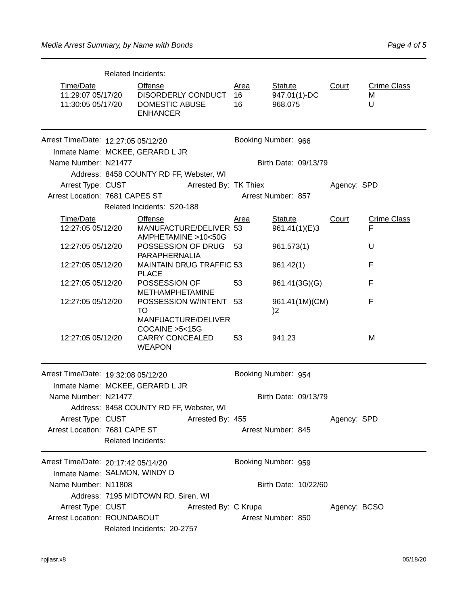|                                                     | <b>Related Incidents:</b>                                                 |                       |                         |                                           |              |                              |  |  |  |
|-----------------------------------------------------|---------------------------------------------------------------------------|-----------------------|-------------------------|-------------------------------------------|--------------|------------------------------|--|--|--|
| Time/Date<br>11:29:07 05/17/20<br>11:30:05 05/17/20 | <b>Offense</b><br>DISORDERLY CONDUCT<br>DOMESTIC ABUSE<br><b>ENHANCER</b> |                       | <u>Area</u><br>16<br>16 | <b>Statute</b><br>947.01(1)-DC<br>968.075 | Court        | <b>Crime Class</b><br>м<br>U |  |  |  |
| Arrest Time/Date: 12:27:05 05/12/20                 |                                                                           |                       |                         | Booking Number: 966                       |              |                              |  |  |  |
|                                                     | Inmate Name: MCKEE, GERARD L JR                                           |                       |                         |                                           |              |                              |  |  |  |
| Name Number: N21477                                 |                                                                           |                       |                         | Birth Date: 09/13/79                      |              |                              |  |  |  |
|                                                     | Address: 8458 COUNTY RD FF, Webster, WI                                   |                       |                         |                                           |              |                              |  |  |  |
| Arrest Type: CUST                                   |                                                                           | Arrested By: TK Thiex |                         |                                           | Agency: SPD  |                              |  |  |  |
| Arrest Location: 7681 CAPES ST                      |                                                                           |                       |                         | Arrest Number: 857                        |              |                              |  |  |  |
|                                                     | Related Incidents: S20-188                                                |                       |                         |                                           |              |                              |  |  |  |
| Time/Date                                           | <b>Offense</b>                                                            |                       | Area                    | <b>Statute</b>                            | Court        | <b>Crime Class</b>           |  |  |  |
| 12:27:05 05/12/20                                   | MANUFACTURE/DELIVER 53<br>AMPHETAMINE >10<50G                             |                       |                         | 961.41(1)(E)3                             |              | F                            |  |  |  |
| 12:27:05 05/12/20                                   | POSSESSION OF DRUG<br>PARAPHERNALIA                                       |                       | 53                      | 961.573(1)                                |              | U                            |  |  |  |
| 12:27:05 05/12/20                                   | <b>MAINTAIN DRUG TRAFFIC 53</b><br><b>PLACE</b>                           |                       |                         | 961.42(1)                                 |              | F                            |  |  |  |
| 12:27:05 05/12/20                                   | POSSESSION OF<br><b>METHAMPHETAMINE</b>                                   |                       | 53                      | 961.41(3G)(G)                             |              | F                            |  |  |  |
| 12:27:05 05/12/20                                   | POSSESSION W/INTENT 53<br>TO<br>MANFUACTURE/DELIVER<br>COCAINE > 5 < 15 G |                       |                         | 961.41(1M)(CM)<br>2                       |              | F                            |  |  |  |
| 12:27:05 05/12/20                                   | <b>CARRY CONCEALED</b><br><b>WEAPON</b>                                   |                       | 53                      | 941.23                                    |              | M                            |  |  |  |
| Arrest Time/Date: 19:32:08 05/12/20                 |                                                                           |                       |                         | Booking Number: 954                       |              |                              |  |  |  |
|                                                     | Inmate Name: MCKEE, GERARD L JR                                           |                       |                         |                                           |              |                              |  |  |  |
| Name Number: N21477                                 |                                                                           |                       |                         | Birth Date: 09/13/79                      |              |                              |  |  |  |
|                                                     | Address: 8458 COUNTY RD FF, Webster, WI                                   |                       |                         |                                           |              |                              |  |  |  |
| Arrest Type: CUST                                   |                                                                           | Arrested By: 455      |                         |                                           | Agency: SPD  |                              |  |  |  |
| Arrest Location: 7681 CAPE ST                       | <b>Related Incidents:</b>                                                 |                       |                         | Arrest Number: 845                        |              |                              |  |  |  |
| Arrest Time/Date: 20:17:42 05/14/20                 |                                                                           |                       |                         | Booking Number: 959                       |              |                              |  |  |  |
| Inmate Name: SALMON, WINDY D                        |                                                                           |                       |                         |                                           |              |                              |  |  |  |
| Name Number: N11808                                 |                                                                           |                       |                         | Birth Date: 10/22/60                      |              |                              |  |  |  |
|                                                     | Address: 7195 MIDTOWN RD, Siren, WI                                       |                       |                         |                                           |              |                              |  |  |  |
| Arrest Type: CUST                                   |                                                                           | Arrested By: C Krupa  |                         |                                           | Agency: BCSO |                              |  |  |  |
| Arrest Location: ROUNDABOUT                         |                                                                           |                       |                         | Arrest Number: 850                        |              |                              |  |  |  |
|                                                     | Related Incidents: 20-2757                                                |                       |                         |                                           |              |                              |  |  |  |